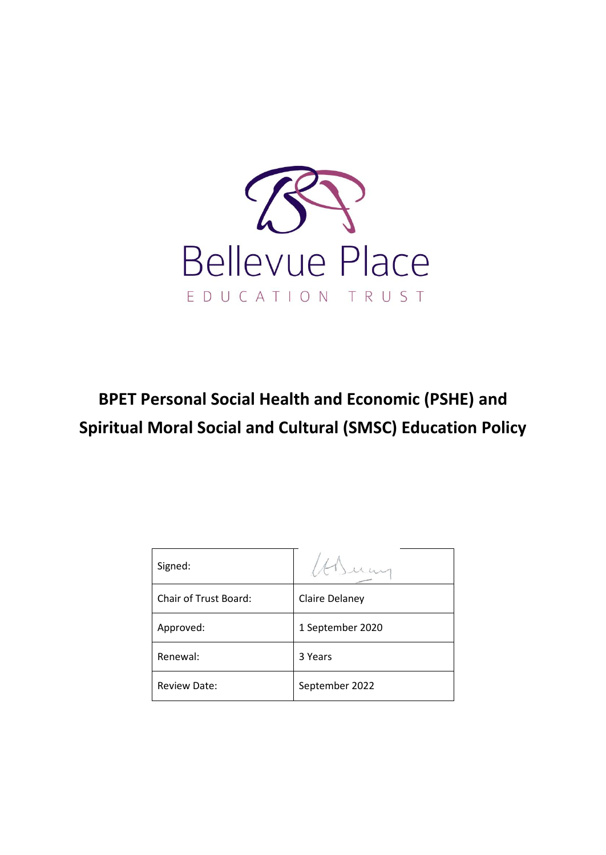

# **BPET Personal Social Health and Economic (PSHE) and Spiritual Moral Social and Cultural (SMSC) Education Policy**

| Signed:                      |                  |
|------------------------------|------------------|
| <b>Chair of Trust Board:</b> | Claire Delaney   |
| Approved:                    | 1 September 2020 |
| Renewal:                     | 3 Years          |
| <b>Review Date:</b>          | September 2022   |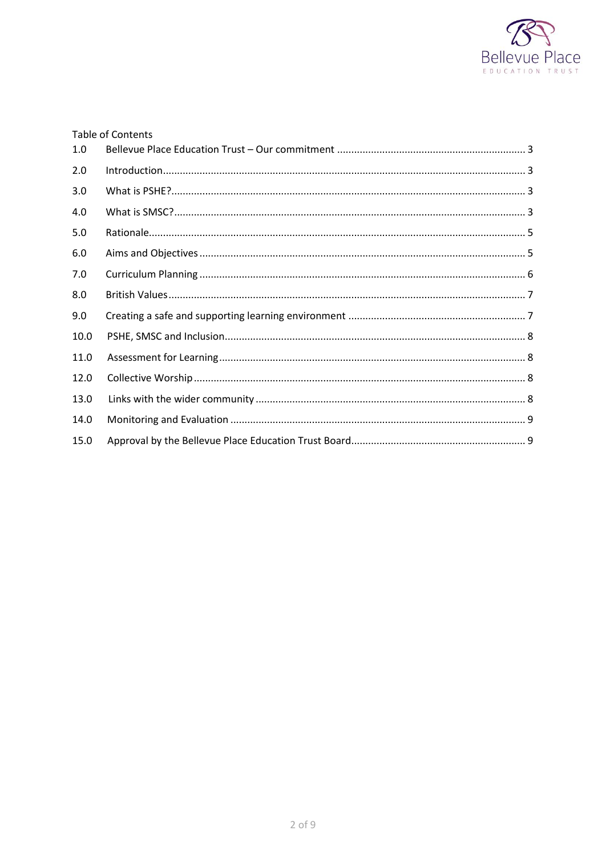

|      | <b>Table of Contents</b> |  |
|------|--------------------------|--|
| 1.0  |                          |  |
| 2.0  |                          |  |
| 3.0  |                          |  |
| 4.0  |                          |  |
| 5.0  |                          |  |
| 6.0  |                          |  |
| 7.0  |                          |  |
| 8.0  |                          |  |
| 9.0  |                          |  |
| 10.0 |                          |  |
| 11.0 |                          |  |
| 12.0 |                          |  |
| 13.0 |                          |  |
| 14.0 |                          |  |
| 15.0 |                          |  |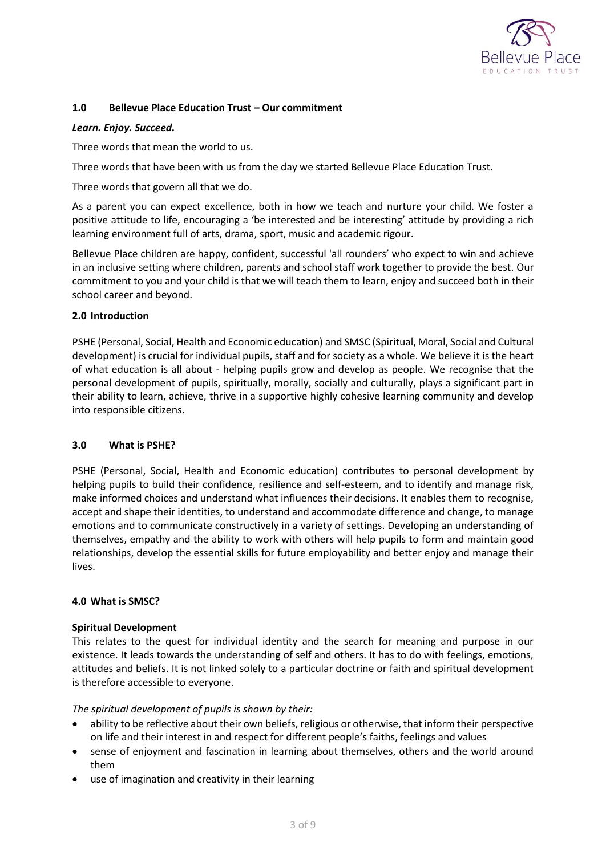

## <span id="page-2-0"></span>**1.0 Bellevue Place Education Trust – Our commitment**

#### *Learn. Enjoy. Succeed.*

Three words that mean the world to us.

Three words that have been with us from the day we started Bellevue Place Education Trust.

Three words that govern all that we do.

As a parent you can expect excellence, both in how we teach and nurture your child. We foster a positive attitude to life, encouraging a 'be interested and be interesting' attitude by providing a rich learning environment full of arts, drama, sport, music and academic rigour.

Bellevue Place children are happy, confident, successful 'all rounders' who expect to win and achieve in an inclusive setting where children, parents and school staff work together to provide the best. Our commitment to you and your child is that we will teach them to learn, enjoy and succeed both in their school career and beyond.

## <span id="page-2-1"></span>**2.0 Introduction**

PSHE (Personal, Social, Health and Economic education) and SMSC (Spiritual, Moral, Social and Cultural development) is crucial for individual pupils, staff and for society as a whole. We believe it is the heart of what education is all about - helping pupils grow and develop as people. We recognise that the personal development of pupils, spiritually, morally, socially and culturally, plays a significant part in their ability to learn, achieve, thrive in a supportive highly cohesive learning community and develop into responsible citizens.

#### <span id="page-2-2"></span>**3.0 What is PSHE?**

PSHE (Personal, Social, Health and Economic education) contributes to personal development by helping pupils to build their confidence, resilience and self-esteem, and to identify and manage risk, make informed choices and understand what influences their decisions. It enables them to recognise, accept and shape their identities, to understand and accommodate difference and change, to manage emotions and to communicate constructively in a variety of settings. Developing an understanding of themselves, empathy and the ability to work with others will help pupils to form and maintain good relationships, develop the essential skills for future employability and better enjoy and manage their lives.

#### <span id="page-2-3"></span>**4.0 What is SMSC?**

#### **Spiritual Development**

This relates to the quest for individual identity and the search for meaning and purpose in our existence. It leads towards the understanding of self and others. It has to do with feelings, emotions, attitudes and beliefs. It is not linked solely to a particular doctrine or faith and spiritual development is therefore accessible to everyone.

#### *The spiritual development of pupils is shown by their:*

- ability to be reflective about their own beliefs, religious or otherwise, that inform their perspective on life and their interest in and respect for different people's faiths, feelings and values
- sense of enjoyment and fascination in learning about themselves, others and the world around them
- use of imagination and creativity in their learning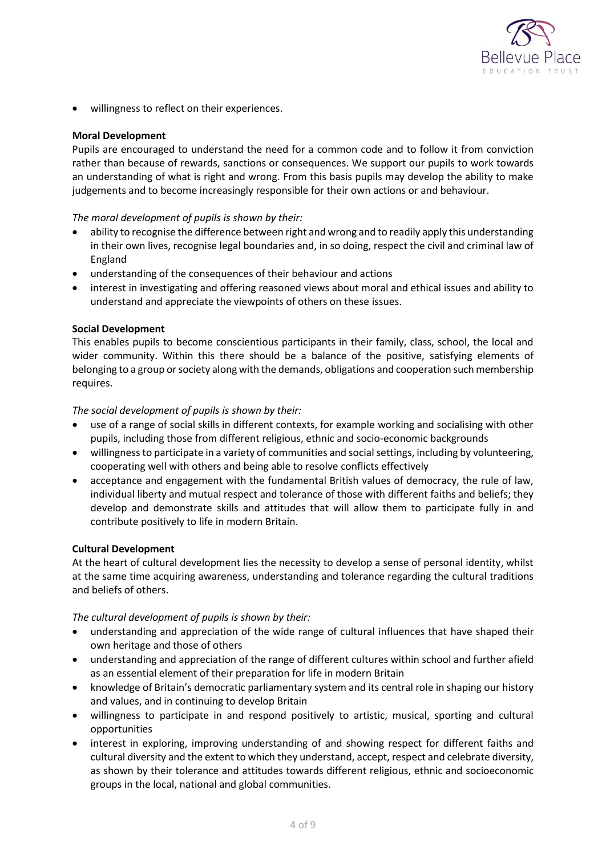

willingness to reflect on their experiences.

## **Moral Development**

Pupils are encouraged to understand the need for a common code and to follow it from conviction rather than because of rewards, sanctions or consequences. We support our pupils to work towards an understanding of what is right and wrong. From this basis pupils may develop the ability to make judgements and to become increasingly responsible for their own actions or and behaviour.

## *The moral development of pupils is shown by their:*

- ability to recognise the difference between right and wrong and to readily apply this understanding in their own lives, recognise legal boundaries and, in so doing, respect the civil and criminal law of England
- understanding of the consequences of their behaviour and actions
- interest in investigating and offering reasoned views about moral and ethical issues and ability to understand and appreciate the viewpoints of others on these issues.

## **Social Development**

This enables pupils to become conscientious participants in their family, class, school, the local and wider community. Within this there should be a balance of the positive, satisfying elements of belonging to a group or society along with the demands, obligations and cooperation such membership requires.

## *The social development of pupils is shown by their:*

- use of a range of social skills in different contexts, for example working and socialising with other pupils, including those from different religious, ethnic and socio-economic backgrounds
- willingness to participate in a variety of communities and social settings, including by volunteering, cooperating well with others and being able to resolve conflicts effectively
- acceptance and engagement with the fundamental British values of democracy, the rule of law, individual liberty and mutual respect and tolerance of those with different faiths and beliefs; they develop and demonstrate skills and attitudes that will allow them to participate fully in and contribute positively to life in modern Britain.

#### **Cultural Development**

At the heart of cultural development lies the necessity to develop a sense of personal identity, whilst at the same time acquiring awareness, understanding and tolerance regarding the cultural traditions and beliefs of others.

*The cultural development of pupils is shown by their:*

- understanding and appreciation of the wide range of cultural influences that have shaped their own heritage and those of others
- understanding and appreciation of the range of different cultures within school and further afield as an essential element of their preparation for life in modern Britain
- knowledge of Britain's democratic parliamentary system and its central role in shaping our history and values, and in continuing to develop Britain
- willingness to participate in and respond positively to artistic, musical, sporting and cultural opportunities
- interest in exploring, improving understanding of and showing respect for different faiths and cultural diversity and the extent to which they understand, accept, respect and celebrate diversity, as shown by their tolerance and attitudes towards different religious, ethnic and socioeconomic groups in the local, national and global communities.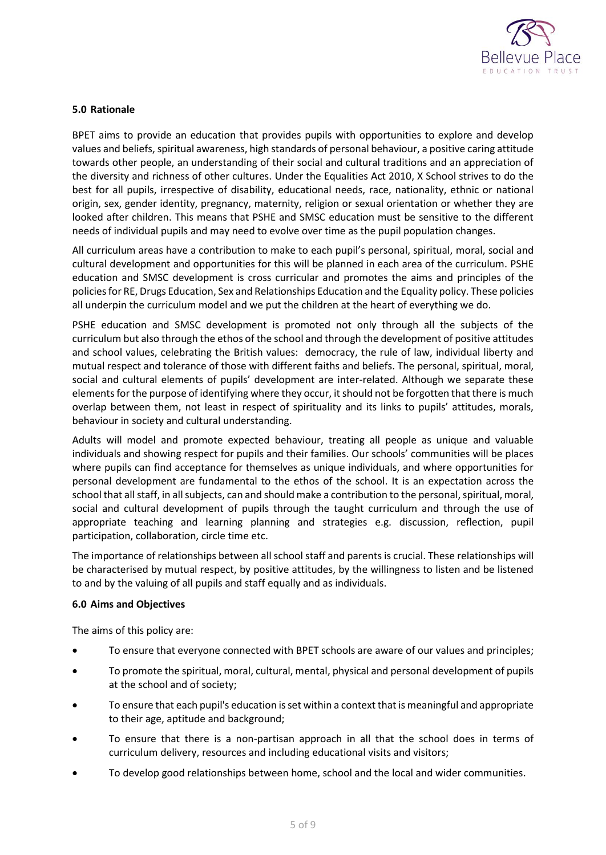

## <span id="page-4-0"></span>**5.0 Rationale**

BPET aims to provide an education that provides pupils with opportunities to explore and develop values and beliefs, spiritual awareness, high standards of personal behaviour, a positive caring attitude towards other people, an understanding of their social and cultural traditions and an appreciation of the diversity and richness of other cultures. Under the Equalities Act 2010, X School strives to do the best for all pupils, irrespective of disability, educational needs, race, nationality, ethnic or national origin, sex, gender identity, pregnancy, maternity, religion or sexual orientation or whether they are looked after children. This means that PSHE and SMSC education must be sensitive to the different needs of individual pupils and may need to evolve over time as the pupil population changes.

All curriculum areas have a contribution to make to each pupil's personal, spiritual, moral, social and cultural development and opportunities for this will be planned in each area of the curriculum. PSHE education and SMSC development is cross curricular and promotes the aims and principles of the policies for RE, Drugs Education, Sex and Relationships Education and the Equality policy. These policies all underpin the curriculum model and we put the children at the heart of everything we do.

PSHE education and SMSC development is promoted not only through all the subjects of the curriculum but also through the ethos of the school and through the development of positive attitudes and school values, celebrating the British values: democracy, the rule of law, individual liberty and mutual respect and tolerance of those with different faiths and beliefs. The personal, spiritual, moral, social and cultural elements of pupils' development are inter-related. Although we separate these elements for the purpose of identifying where they occur, it should not be forgotten that there is much overlap between them, not least in respect of spirituality and its links to pupils' attitudes, morals, behaviour in society and cultural understanding.

Adults will model and promote expected behaviour, treating all people as unique and valuable individuals and showing respect for pupils and their families. Our schools' communities will be places where pupils can find acceptance for themselves as unique individuals, and where opportunities for personal development are fundamental to the ethos of the school. It is an expectation across the school that all staff, in all subjects, can and should make a contribution to the personal, spiritual, moral, social and cultural development of pupils through the taught curriculum and through the use of appropriate teaching and learning planning and strategies e.g. discussion, reflection, pupil participation, collaboration, circle time etc.

The importance of relationships between all school staff and parents is crucial. These relationships will be characterised by mutual respect, by positive attitudes, by the willingness to listen and be listened to and by the valuing of all pupils and staff equally and as individuals.

#### <span id="page-4-1"></span>**6.0 Aims and Objectives**

The aims of this policy are:

- To ensure that everyone connected with BPET schools are aware of our values and principles;
- To promote the spiritual, moral, cultural, mental, physical and personal development of pupils at the school and of society;
- To ensure that each pupil's education is set within a context that is meaningful and appropriate to their age, aptitude and background;
- To ensure that there is a non-partisan approach in all that the school does in terms of curriculum delivery, resources and including educational visits and visitors;
- To develop good relationships between home, school and the local and wider communities.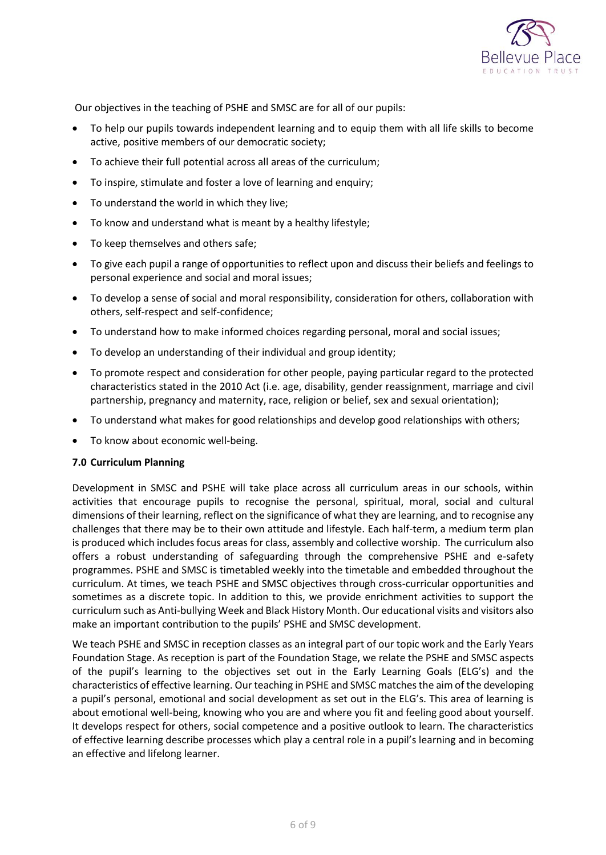

Our objectives in the teaching of PSHE and SMSC are for all of our pupils:

- To help our pupils towards independent learning and to equip them with all life skills to become active, positive members of our democratic society;
- To achieve their full potential across all areas of the curriculum;
- To inspire, stimulate and foster a love of learning and enquiry;
- To understand the world in which they live;
- To know and understand what is meant by a healthy lifestyle;
- To keep themselves and others safe;
- To give each pupil a range of opportunities to reflect upon and discuss their beliefs and feelings to personal experience and social and moral issues;
- To develop a sense of social and moral responsibility, consideration for others, collaboration with others, self-respect and self-confidence;
- To understand how to make informed choices regarding personal, moral and social issues;
- To develop an understanding of their individual and group identity;
- To promote respect and consideration for other people, paying particular regard to the protected characteristics stated in the 2010 Act (i.e. age, disability, gender reassignment, marriage and civil partnership, pregnancy and maternity, race, religion or belief, sex and sexual orientation);
- To understand what makes for good relationships and develop good relationships with others;
- To know about economic well-being.

## <span id="page-5-0"></span>**7.0 Curriculum Planning**

Development in SMSC and PSHE will take place across all curriculum areas in our schools, within activities that encourage pupils to recognise the personal, spiritual, moral, social and cultural dimensions of their learning, reflect on the significance of what they are learning, and to recognise any challenges that there may be to their own attitude and lifestyle. Each half-term, a medium term plan is produced which includes focus areas for class, assembly and collective worship. The curriculum also offers a robust understanding of safeguarding through the comprehensive PSHE and e-safety programmes. PSHE and SMSC is timetabled weekly into the timetable and embedded throughout the curriculum. At times, we teach PSHE and SMSC objectives through cross-curricular opportunities and sometimes as a discrete topic. In addition to this, we provide enrichment activities to support the curriculum such as Anti-bullying Week and Black History Month. Our educational visits and visitors also make an important contribution to the pupils' PSHE and SMSC development.

<span id="page-5-1"></span>We teach PSHE and SMSC in reception classes as an integral part of our topic work and the Early Years Foundation Stage. As reception is part of the Foundation Stage, we relate the PSHE and SMSC aspects of the pupil's learning to the objectives set out in the Early Learning Goals (ELG's) and the characteristics of effective learning. Our teaching in PSHE and SMSC matches the aim of the developing a pupil's personal, emotional and social development as set out in the ELG's. This area of learning is about emotional well-being, knowing who you are and where you fit and feeling good about yourself. It develops respect for others, social competence and a positive outlook to learn. The characteristics of effective learning describe processes which play a central role in a pupil's learning and in becoming an effective and lifelong learner.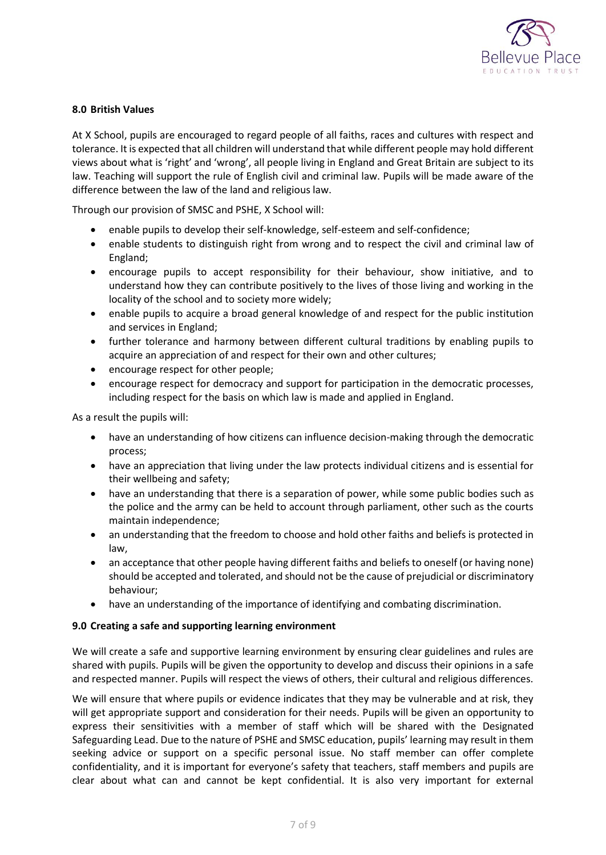

## **8.0 British Values**

At X School, pupils are encouraged to regard people of all faiths, races and cultures with respect and tolerance. It is expected that all children will understand that while different people may hold different views about what is 'right' and 'wrong', all people living in England and Great Britain are subject to its law. Teaching will support the rule of English civil and criminal law. Pupils will be made aware of the difference between the law of the land and religious law.

Through our provision of SMSC and PSHE, X School will:

- enable pupils to develop their self-knowledge, self-esteem and self-confidence;
- enable students to distinguish right from wrong and to respect the civil and criminal law of England;
- encourage pupils to accept responsibility for their behaviour, show initiative, and to understand how they can contribute positively to the lives of those living and working in the locality of the school and to society more widely;
- enable pupils to acquire a broad general knowledge of and respect for the public institution and services in England;
- further tolerance and harmony between different cultural traditions by enabling pupils to acquire an appreciation of and respect for their own and other cultures;
- encourage respect for other people;
- encourage respect for democracy and support for participation in the democratic processes, including respect for the basis on which law is made and applied in England.

As a result the pupils will:

- have an understanding of how citizens can influence decision-making through the democratic process;
- have an appreciation that living under the law protects individual citizens and is essential for their wellbeing and safety;
- have an understanding that there is a separation of power, while some public bodies such as the police and the army can be held to account through parliament, other such as the courts maintain independence;
- an understanding that the freedom to choose and hold other faiths and beliefs is protected in law,
- an acceptance that other people having different faiths and beliefs to oneself (or having none) should be accepted and tolerated, and should not be the cause of prejudicial or discriminatory behaviour;
- have an understanding of the importance of identifying and combating discrimination.

#### <span id="page-6-0"></span>**9.0 Creating a safe and supporting learning environment**

We will create a safe and supportive learning environment by ensuring clear guidelines and rules are shared with pupils. Pupils will be given the opportunity to develop and discuss their opinions in a safe and respected manner. Pupils will respect the views of others, their cultural and religious differences.

We will ensure that where pupils or evidence indicates that they may be vulnerable and at risk, they will get appropriate support and consideration for their needs. Pupils will be given an opportunity to express their sensitivities with a member of staff which will be shared with the Designated Safeguarding Lead. Due to the nature of PSHE and SMSC education, pupils' learning may result in them seeking advice or support on a specific personal issue. No staff member can offer complete confidentiality, and it is important for everyone's safety that teachers, staff members and pupils are clear about what can and cannot be kept confidential. It is also very important for external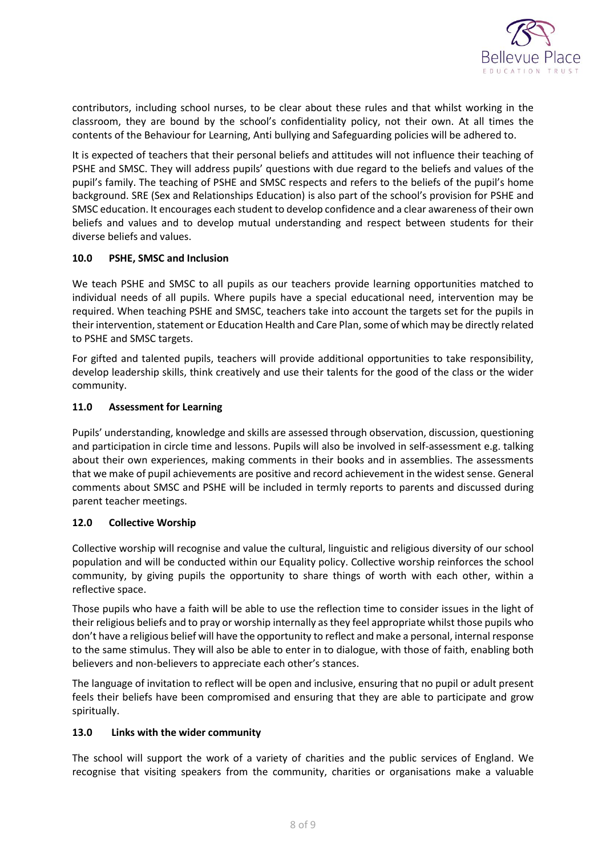

contributors, including school nurses, to be clear about these rules and that whilst working in the classroom, they are bound by the school's confidentiality policy, not their own. At all times the contents of the Behaviour for Learning, Anti bullying and Safeguarding policies will be adhered to.

It is expected of teachers that their personal beliefs and attitudes will not influence their teaching of PSHE and SMSC. They will address pupils' questions with due regard to the beliefs and values of the pupil's family. The teaching of PSHE and SMSC respects and refers to the beliefs of the pupil's home background. SRE (Sex and Relationships Education) is also part of the school's provision for PSHE and SMSC education. It encourages each student to develop confidence and a clear awareness of their own beliefs and values and to develop mutual understanding and respect between students for their diverse beliefs and values.

# <span id="page-7-0"></span>**10.0 PSHE, SMSC and Inclusion**

We teach PSHE and SMSC to all pupils as our teachers provide learning opportunities matched to individual needs of all pupils. Where pupils have a special educational need, intervention may be required. When teaching PSHE and SMSC, teachers take into account the targets set for the pupils in their intervention, statement or Education Health and Care Plan, some of which may be directly related to PSHE and SMSC targets.

For gifted and talented pupils, teachers will provide additional opportunities to take responsibility, develop leadership skills, think creatively and use their talents for the good of the class or the wider community.

# <span id="page-7-1"></span>**11.0 Assessment for Learning**

Pupils' understanding, knowledge and skills are assessed through observation, discussion, questioning and participation in circle time and lessons. Pupils will also be involved in self-assessment e.g. talking about their own experiences, making comments in their books and in assemblies. The assessments that we make of pupil achievements are positive and record achievement in the widest sense. General comments about SMSC and PSHE will be included in termly reports to parents and discussed during parent teacher meetings.

## <span id="page-7-2"></span>**12.0 Collective Worship**

Collective worship will recognise and value the cultural, linguistic and religious diversity of our school population and will be conducted within our Equality policy. Collective worship reinforces the school community, by giving pupils the opportunity to share things of worth with each other, within a reflective space.

Those pupils who have a faith will be able to use the reflection time to consider issues in the light of their religious beliefs and to pray or worship internally as they feel appropriate whilst those pupils who don't have a religious belief will have the opportunity to reflect and make a personal, internal response to the same stimulus. They will also be able to enter in to dialogue, with those of faith, enabling both believers and non-believers to appreciate each other's stances.

The language of invitation to reflect will be open and inclusive, ensuring that no pupil or adult present feels their beliefs have been compromised and ensuring that they are able to participate and grow spiritually.

## <span id="page-7-3"></span>**13.0 Links with the wider community**

The school will support the work of a variety of charities and the public services of England. We recognise that visiting speakers from the community, charities or organisations make a valuable